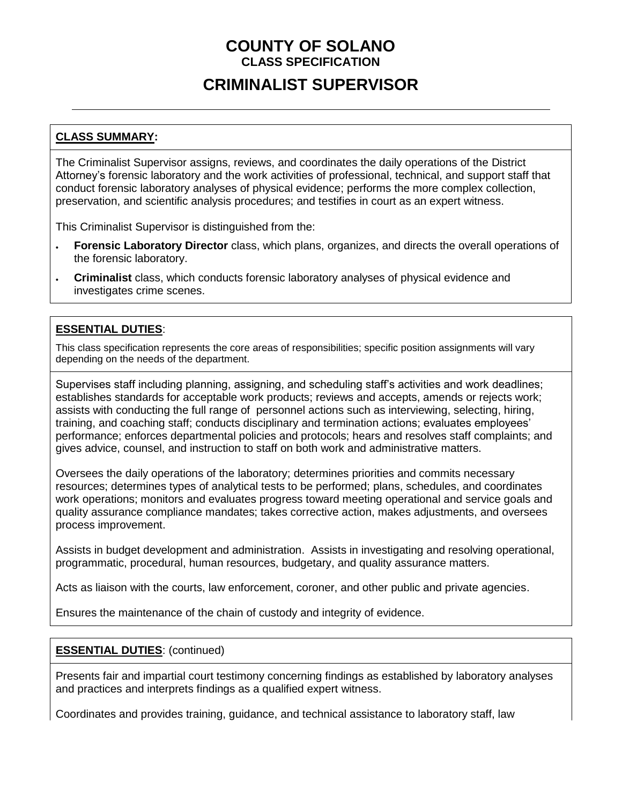# **CRIMINALIST SUPERVISOR**

### **CLASS SUMMARY:**

The Criminalist Supervisor assigns, reviews, and coordinates the daily operations of the District Attorney's forensic laboratory and the work activities of professional, technical, and support staff that conduct forensic laboratory analyses of physical evidence; performs the more complex collection, preservation, and scientific analysis procedures; and testifies in court as an expert witness.

This Criminalist Supervisor is distinguished from the:

- **Forensic Laboratory Director** class, which plans, organizes, and directs the overall operations of the forensic laboratory.
- **Criminalist** class, which conducts forensic laboratory analyses of physical evidence and investigates crime scenes.

### **ESSENTIAL DUTIES**:

This class specification represents the core areas of responsibilities; specific position assignments will vary depending on the needs of the department.

Supervises staff including planning, assigning, and scheduling staff's activities and work deadlines; establishes standards for acceptable work products; reviews and accepts, amends or rejects work; assists with conducting the full range of personnel actions such as interviewing, selecting, hiring, training, and coaching staff; conducts disciplinary and termination actions; evaluates employees' performance; enforces departmental policies and protocols; hears and resolves staff complaints; and gives advice, counsel, and instruction to staff on both work and administrative matters.

Oversees the daily operations of the laboratory; determines priorities and commits necessary resources; determines types of analytical tests to be performed; plans, schedules, and coordinates work operations; monitors and evaluates progress toward meeting operational and service goals and quality assurance compliance mandates; takes corrective action, makes adjustments, and oversees process improvement.

Assists in budget development and administration. Assists in investigating and resolving operational, programmatic, procedural, human resources, budgetary, and quality assurance matters.

Acts as liaison with the courts, law enforcement, coroner, and other public and private agencies.

Ensures the maintenance of the chain of custody and integrity of evidence.

### **ESSENTIAL DUTIES**: (continued)

Presents fair and impartial court testimony concerning findings as established by laboratory analyses and practices and interprets findings as a qualified expert witness.

Coordinates and provides training, guidance, and technical assistance to laboratory staff, law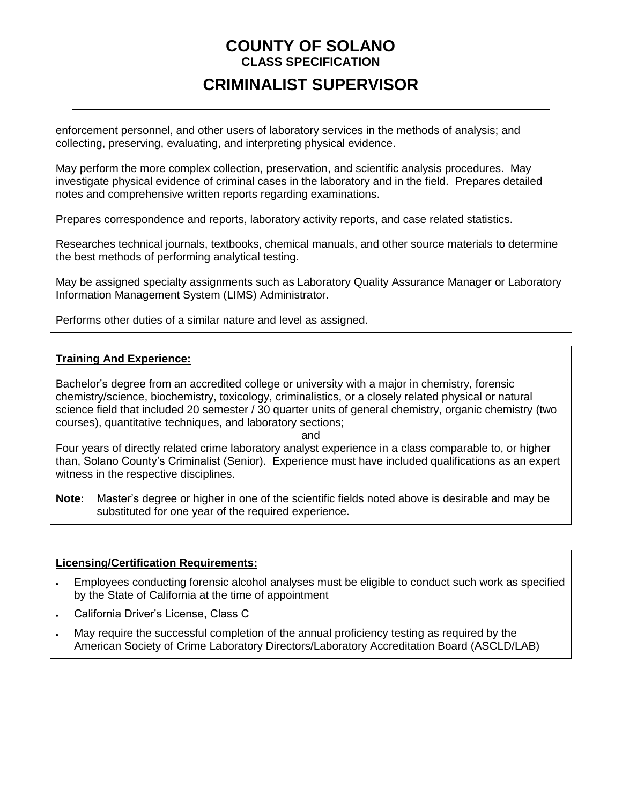# **CRIMINALIST SUPERVISOR**

enforcement personnel, and other users of laboratory services in the methods of analysis; and collecting, preserving, evaluating, and interpreting physical evidence.

May perform the more complex collection, preservation, and scientific analysis procedures. May investigate physical evidence of criminal cases in the laboratory and in the field. Prepares detailed notes and comprehensive written reports regarding examinations.

Prepares correspondence and reports, laboratory activity reports, and case related statistics.

Researches technical journals, textbooks, chemical manuals, and other source materials to determine the best methods of performing analytical testing.

May be assigned specialty assignments such as Laboratory Quality Assurance Manager or Laboratory Information Management System (LIMS) Administrator.

Performs other duties of a similar nature and level as assigned.

#### **Training And Experience:**

Bachelor's degree from an accredited college or university with a major in chemistry, forensic chemistry/science, biochemistry, toxicology, criminalistics, or a closely related physical or natural science field that included 20 semester / 30 quarter units of general chemistry, organic chemistry (two courses), quantitative techniques, and laboratory sections;

and

Four years of directly related crime laboratory analyst experience in a class comparable to, or higher than, Solano County's Criminalist (Senior). Experience must have included qualifications as an expert witness in the respective disciplines.

**Note:** Master's degree or higher in one of the scientific fields noted above is desirable and may be substituted for one year of the required experience.

#### **Licensing/Certification Requirements:**

- Employees conducting forensic alcohol analyses must be eligible to conduct such work as specified by the State of California at the time of appointment
- California Driver's License, Class C
- May require the successful completion of the annual proficiency testing as required by the American Society of Crime Laboratory Directors/Laboratory Accreditation Board (ASCLD/LAB)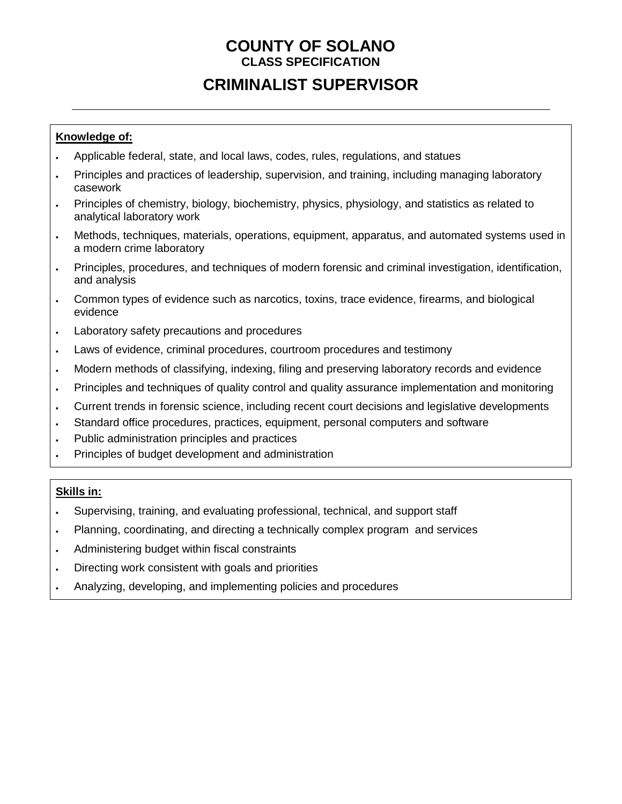# **CRIMINALIST SUPERVISOR**

## **Knowledge of:**

- Applicable federal, state, and local laws, codes, rules, regulations, and statues
- Principles and practices of leadership, supervision, and training, including managing laboratory casework
- Principles of chemistry, biology, biochemistry, physics, physiology, and statistics as related to analytical laboratory work
- Methods, techniques, materials, operations, equipment, apparatus, and automated systems used in a modern crime laboratory
- Principles, procedures, and techniques of modern forensic and criminal investigation, identification, and analysis
- Common types of evidence such as narcotics, toxins, trace evidence, firearms, and biological evidence
- Laboratory safety precautions and procedures
- Laws of evidence, criminal procedures, courtroom procedures and testimony
- Modern methods of classifying, indexing, filing and preserving laboratory records and evidence
- Principles and techniques of quality control and quality assurance implementation and monitoring
- Current trends in forensic science, including recent court decisions and legislative developments
- Standard office procedures, practices, equipment, personal computers and software
- Public administration principles and practices
- Principles of budget development and administration

#### **Skills in:**

- Supervising, training, and evaluating professional, technical, and support staff
- Planning, coordinating, and directing a technically complex program and services
- Administering budget within fiscal constraints
- Directing work consistent with goals and priorities
- Analyzing, developing, and implementing policies and procedures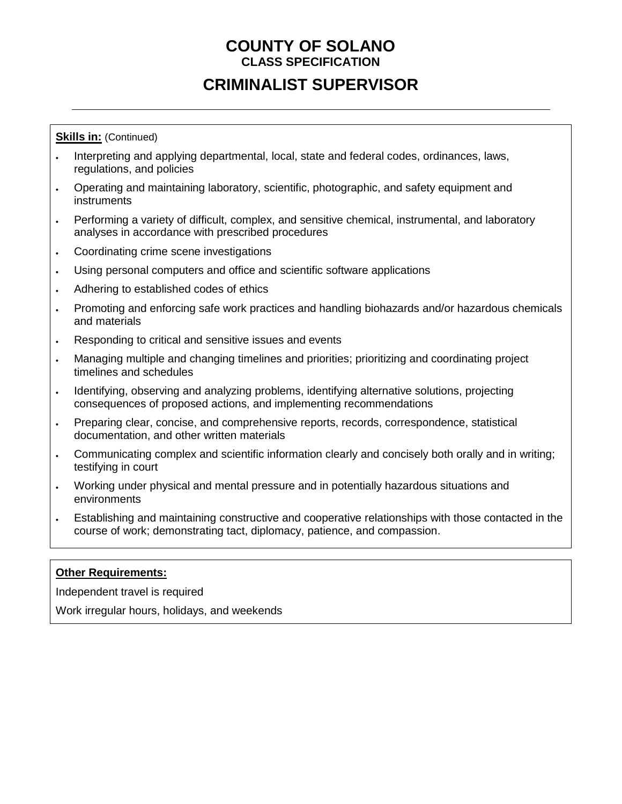# **CRIMINALIST SUPERVISOR**

#### **Skills in:** (Continued)

- Interpreting and applying departmental, local, state and federal codes, ordinances, laws, regulations, and policies
- Operating and maintaining laboratory, scientific, photographic, and safety equipment and instruments
- Performing a variety of difficult, complex, and sensitive chemical, instrumental, and laboratory analyses in accordance with prescribed procedures
- Coordinating crime scene investigations
- Using personal computers and office and scientific software applications
- Adhering to established codes of ethics
- Promoting and enforcing safe work practices and handling biohazards and/or hazardous chemicals and materials
- Responding to critical and sensitive issues and events
- Managing multiple and changing timelines and priorities; prioritizing and coordinating project timelines and schedules
- Identifying, observing and analyzing problems, identifying alternative solutions, projecting consequences of proposed actions, and implementing recommendations
- Preparing clear, concise, and comprehensive reports, records, correspondence, statistical documentation, and other written materials
- Communicating complex and scientific information clearly and concisely both orally and in writing; testifying in court
- Working under physical and mental pressure and in potentially hazardous situations and environments
- Establishing and maintaining constructive and cooperative relationships with those contacted in the course of work; demonstrating tact, diplomacy, patience, and compassion.

### **Other Requirements:**

Independent travel is required

Work irregular hours, holidays, and weekends